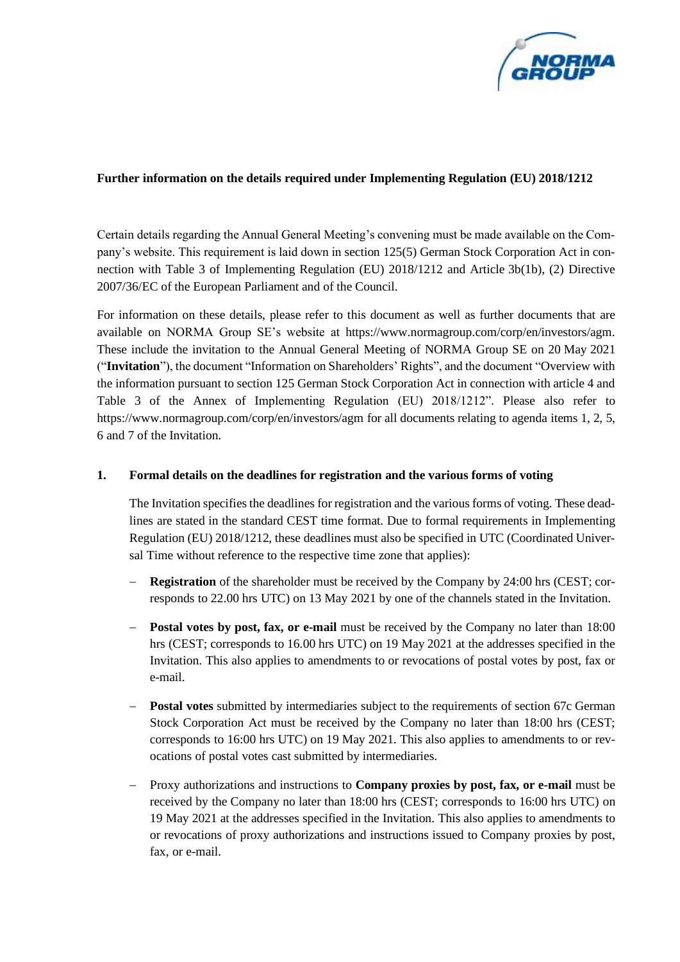

## **Further information on the details required under Implementing Regulation (EU) 2018/1212**

Certain details regarding the Annual General Meeting's convening must be made available on the Company's website. This requirement is laid down in section 125(5) German Stock Corporation Act in connection with Table 3 of Implementing Regulation (EU) 2018/1212 and Article 3b(1b), (2) Directive 2007/36/EC of the European Parliament and of the Council.

For information on these details, please refer to this document as well as further documents that are available on NORMA Group SE's website at https://www.normagroup.com/corp/en/investors/agm. These include the invitation to the Annual General Meeting of NORMA Group SE on 20 May 2021 ("**Invitation**"), the document "Information on Shareholders' Rights", and the document "Overview with the information pursuant to section 125 German Stock Corporation Act in connection with article 4 and Table 3 of the Annex of Implementing Regulation (EU) 2018/1212". Please also refer to https://www.normagroup.com/corp/en/investors/agm for all documents relating to agenda items 1, 2, 5, 6 and 7 of the Invitation.

## **1. Formal details on the deadlines for registration and the various forms of voting**

The Invitation specifies the deadlines for registration and the various forms of voting. These deadlines are stated in the standard CEST time format. Due to formal requirements in Implementing Regulation (EU) 2018/1212, these deadlines must also be specified in UTC (Coordinated Universal Time without reference to the respective time zone that applies):

- − **Registration** of the shareholder must be received by the Company by 24:00 hrs (CEST; corresponds to 22.00 hrs UTC) on 13 May 2021 by one of the channels stated in the Invitation.
- − **Postal votes by post, fax, or e-mail** must be received by the Company no later than 18:00 hrs (CEST; corresponds to 16.00 hrs UTC) on 19 May 2021 at the addresses specified in the Invitation. This also applies to amendments to or revocations of postal votes by post, fax or e-mail.
- **Postal votes** submitted by intermediaries subject to the requirements of section 67c German Stock Corporation Act must be received by the Company no later than 18:00 hrs (CEST; corresponds to 16:00 hrs UTC) on 19 May 2021. This also applies to amendments to or revocations of postal votes cast submitted by intermediaries.
- − Proxy authorizations and instructions to **Company proxies by post, fax, or e-mail** must be received by the Company no later than 18:00 hrs (CEST; corresponds to 16:00 hrs UTC) on 19 May 2021 at the addresses specified in the Invitation. This also applies to amendments to or revocations of proxy authorizations and instructions issued to Company proxies by post, fax, or e-mail.